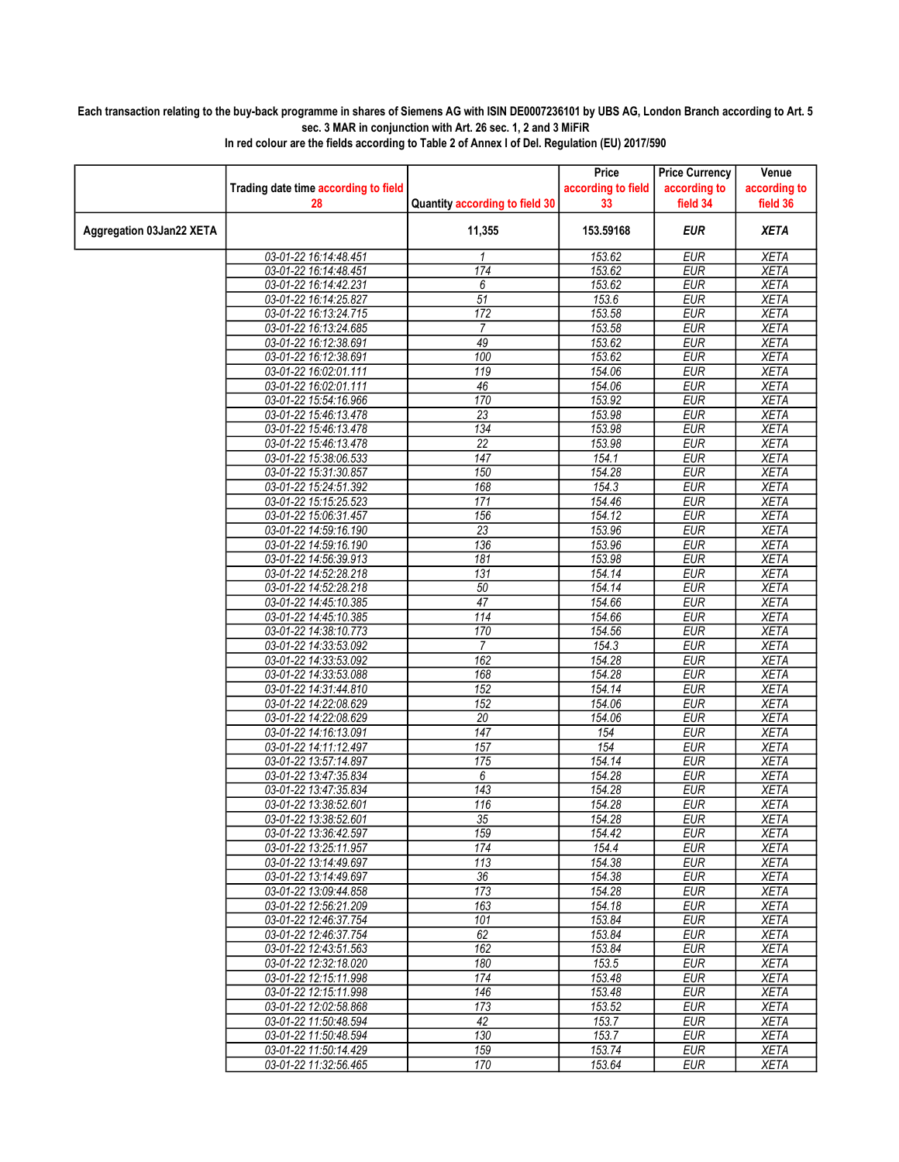## Each transaction relating to the buy-back programme in shares of Siemens AG with ISIN DE0007236101 by UBS AG, London Branch according to Art. 5 sec. 3 MAR in conjunction with Art. 26 sec. 1, 2 and 3 MiFiR

|                          |                                                |                                | Price              | <b>Price Currency</b>    | Venue                      |
|--------------------------|------------------------------------------------|--------------------------------|--------------------|--------------------------|----------------------------|
|                          | Trading date time according to field           |                                | according to field | according to             | according to               |
|                          | 28                                             | Quantity according to field 30 | 33                 | field 34                 | field 36                   |
| Aggregation 03Jan22 XETA |                                                | 11,355                         | 153.59168          | EUR                      | <b>XETA</b>                |
|                          | 03-01-22 16:14:48.451                          | 1                              | 153.62             | <b>EUR</b>               | <b>XETA</b>                |
|                          | 03-01-22 16:14:48.451                          | 174                            | 153.62             | <b>EUR</b>               | <b>XETA</b>                |
|                          | 03-01-22 16:14:42.231                          | 6                              | 153.62             | <b>EUR</b>               | <b>XETA</b>                |
|                          | 03-01-22 16:14:25.827                          | $\overline{51}$                | 153.6              | <b>EUR</b>               | <b>XETA</b>                |
|                          | 03-01-22 16:13:24.715                          | 172                            | 153.58             | <b>EUR</b>               | <b>XETA</b>                |
|                          | 03-01-22 16:13:24.685                          | $\overline{7}$                 | 153.58             | <b>EUR</b>               | <b>XETA</b>                |
|                          | 03-01-22 16:12:38.691                          | 49                             | 153.62             | <b>EUR</b>               | <b>XETA</b>                |
|                          | 03-01-22 16:12:38.691                          | 100                            | 153.62             | <b>EUR</b>               | <b>XETA</b>                |
|                          | 03-01-22 16:02:01.111                          | 119                            | 154.06             | <b>EUR</b>               | <b>XETA</b>                |
|                          | 03-01-22 16:02:01.111                          | 46                             | 154.06             | <b>EUR</b>               | <b>XETA</b>                |
|                          | 03-01-22 15:54:16.966                          | 170                            | 153.92             | <b>EUR</b>               | <b>XETA</b>                |
|                          | 03-01-22 15:46:13.478                          | $\overline{23}$                | 153.98             | <b>EUR</b>               | <b>XETA</b>                |
|                          | 03-01-22 15:46:13.478                          | 134                            | 153.98             | <b>EUR</b>               | <b>XETA</b>                |
|                          | 03-01-22 15:46:13.478                          | $\overline{22}$                | 153.98             | <b>EUR</b>               | <b>XETA</b>                |
|                          | 03-01-22 15:38:06.533                          | 147                            | 154.1              | <b>EUR</b>               | <b>XETA</b>                |
|                          | 03-01-22 15:31:30.857                          | 150                            | 154.28             | <b>EUR</b>               | <b>XETA</b>                |
|                          | 03-01-22 15:24:51.392                          | 168                            | 154.3              | <b>EUR</b>               | <b>XETA</b>                |
|                          | 03-01-22 15:15:25.523                          | 171                            | 154.46             | <b>EUR</b>               | <b>XETA</b>                |
|                          | 03-01-22 15:06:31.457                          | 156                            | 154.12             | <b>EUR</b>               | <b>XETA</b>                |
|                          | 03-01-22 14:59:16.190                          | $\overline{23}$                | 153.96             | EUR                      | <b>XETA</b>                |
|                          | 03-01-22 14:59:16.190                          | 136                            | 153.96             | <b>EUR</b>               | <b>XETA</b>                |
|                          | 03-01-22 14:56:39.913                          | 181                            | 153.98             | <b>EUR</b>               | <b>XETA</b>                |
|                          | 03-01-22 14:52:28.218<br>03-01-22 14:52:28.218 | 131<br>50                      | 154.14<br>154.14   | <b>EUR</b><br><b>EUR</b> | <b>XETA</b><br><b>XETA</b> |
|                          | 03-01-22 14:45:10.385                          | $\overline{47}$                | 154.66             | <b>EUR</b>               | <b>XETA</b>                |
|                          | 03-01-22 14:45:10.385                          | 114                            | 154.66             | <b>EUR</b>               | <b>XETA</b>                |
|                          | 03-01-22 14:38:10.773                          | 170                            | 154.56             | <b>EUR</b>               | <b>XETA</b>                |
|                          | 03-01-22 14:33:53.092                          | $\overline{7}$                 | 154.3              | <b>EUR</b>               | <b>XETA</b>                |
|                          | 03-01-22 14:33:53.092                          | 162                            | 154.28             | <b>EUR</b>               | <b>XETA</b>                |
|                          | 03-01-22 14:33:53.088                          | 168                            | 154.28             | <b>EUR</b>               | <b>XETA</b>                |
|                          | 03-01-22 14:31:44.810                          | 152                            | 154.14             | <b>EUR</b>               | <b>XETA</b>                |
|                          | 03-01-22 14:22:08.629                          | 152                            | 154.06             | <b>EUR</b>               | <b>XETA</b>                |
|                          | 03-01-22 14:22:08.629                          | $\overline{20}$                | 154.06             | <b>EUR</b>               | <b>XETA</b>                |
|                          | 03-01-22 14:16:13.091                          | $\overline{147}$               | 154                | <b>EUR</b>               | <b>XETA</b>                |
|                          | 03-01-22 14:11:12.497                          | 157                            | 154                | <b>EUR</b>               | <b>XETA</b>                |
|                          | 03-01-22 13:57:14.897                          | 175                            | 154.14             | <b>EUR</b>               | <b>XETA</b>                |
|                          | 03-01-22 13:47:35.834                          | 6                              | 154.28             | <b>EUR</b>               | <b>XETA</b>                |
|                          | 03-01-22 13:47:35.834                          | 143                            | 154.28             | <b>EUR</b>               | <b>XETA</b>                |
|                          | 03-01-22 13:38:52.601                          | 116                            | 154.28             | <b>EUR</b>               | <b>XETA</b>                |
|                          | 03-01-22 13:38:52.601                          | 35                             | 154.28             | <b>EUR</b>               | <b>XETA</b>                |
|                          | 03-01-22 13:36:42.597                          | 159                            | 154.42             | EUR                      | XETA                       |
|                          | 03-01-22 13:25:11.957                          | 174                            | 154.4              | <b>EUR</b>               | <b>XETA</b>                |
|                          | 03-01-22 13:14:49.697                          | 113                            | 154.38             | <b>EUR</b>               | <b>XETA</b>                |
|                          | 03-01-22 13:14:49.697                          | 36                             | 154.38             | <b>EUR</b>               | <b>XETA</b>                |
|                          | 03-01-22 13:09:44.858                          | 173                            | 154.28             | <b>EUR</b>               | <b>XETA</b>                |
|                          | 03-01-22 12:56:21.209                          | 163                            | 154.18             | <b>EUR</b>               | <b>XETA</b>                |
|                          | 03-01-22 12:46:37.754                          | 101                            | 153.84             | <b>EUR</b>               | <b>XETA</b>                |
|                          | 03-01-22 12:46:37.754                          | 62                             | 153.84             | <b>EUR</b>               | <b>XETA</b>                |
|                          | 03-01-22 12:43:51.563                          | 162                            | 153.84             | <b>EUR</b>               | <b>XETA</b>                |
|                          | 03-01-22 12:32:18.020                          | 180                            | 153.5              | <b>EUR</b>               | <b>XETA</b>                |
|                          | 03-01-22 12:15:11.998                          | 174                            | 153.48             | <b>EUR</b>               | <b>XETA</b>                |
|                          | 03-01-22 12:15:11.998                          | 146                            | 153.48             | <b>EUR</b>               | <b>XETA</b>                |
|                          | 03-01-22 12:02:58.868                          | 173                            | 153.52             | <b>EUR</b>               | <b>XETA</b>                |
|                          | 03-01-22 11:50:48.594                          | 42                             | 153.7              | <b>EUR</b>               | <b>XETA</b>                |
|                          | 03-01-22 11:50:48.594                          | 130                            | 153.7              | <b>EUR</b>               | <b>XETA</b>                |
|                          | 03-01-22 11:50:14.429                          | 159                            | 153.74             | <b>EUR</b>               | <b>XETA</b>                |
|                          | 03-01-22 11:32:56.465                          | 170                            | 153.64             | EUR                      | XETA                       |

In red colour are the fields according to Table 2 of Annex I of Del. Regulation (EU) 2017/590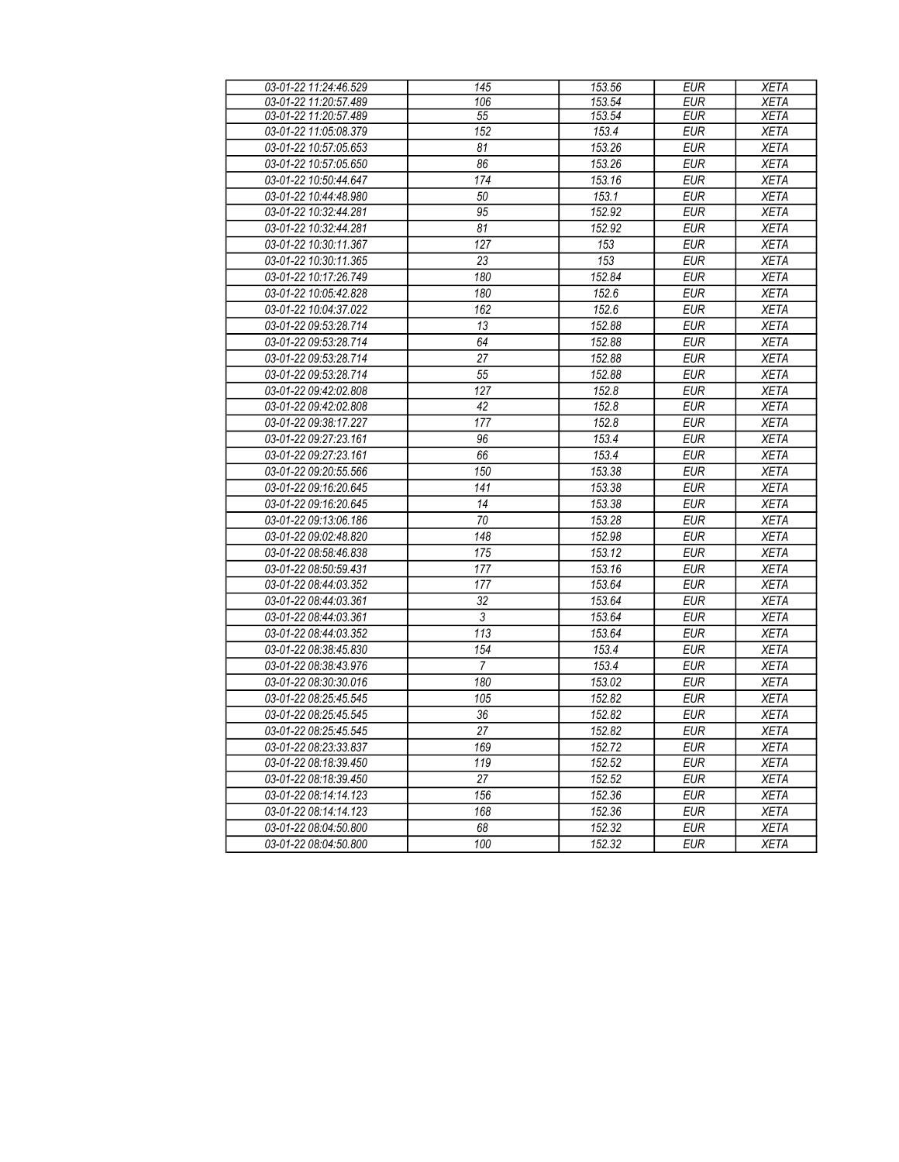| 03-01-22 11:24:46.529 | 145             | 153.56 | <b>EUR</b>       | <b>XETA</b> |
|-----------------------|-----------------|--------|------------------|-------------|
| 03-01-22 11:20:57.489 | 106             | 153.54 | <b>EUR</b>       | <b>XETA</b> |
| 03-01-22 11:20:57.489 | 55              | 153.54 | <b>EUR</b>       | <b>XETA</b> |
| 03-01-22 11:05:08.379 | 152             | 153.4  | <b>EUR</b>       | <b>XETA</b> |
| 03-01-22 10:57:05.653 | 81              | 153.26 | <b>EUR</b>       | <b>XETA</b> |
| 03-01-22 10:57:05.650 | 86              | 153.26 | <b>EUR</b>       | <b>XETA</b> |
| 03-01-22 10:50:44.647 | 174             | 153.16 | <b>EUR</b>       | <b>XETA</b> |
| 03-01-22 10:44:48.980 | 50              | 153.1  | <b>EUR</b>       | <b>XETA</b> |
| 03-01-22 10:32:44.281 | 95              | 152.92 | <b>EUR</b>       | <b>XETA</b> |
| 03-01-22 10:32:44.281 | 81              | 152.92 | <b>EUR</b>       | <b>XETA</b> |
| 03-01-22 10:30:11.367 | 127             | 153    | <b>EUR</b>       | <b>XETA</b> |
| 03-01-22 10:30:11.365 | 23              | 153    | <b>EUR</b>       | <b>XETA</b> |
| 03-01-22 10:17:26.749 | 180             | 152.84 | <b>EUR</b>       | <b>XETA</b> |
| 03-01-22 10:05:42.828 | 180             | 152.6  | <b>EUR</b>       | <b>XETA</b> |
| 03-01-22 10:04:37.022 | 162             | 152.6  | <b>EUR</b>       | <b>XETA</b> |
| 03-01-22 09:53:28.714 | 13              | 152.88 | <b>EUR</b>       | <b>XETA</b> |
| 03-01-22 09:53:28.714 | 64              | 152.88 | <b>EUR</b>       | <b>XETA</b> |
| 03-01-22 09:53:28.714 | $\overline{27}$ | 152.88 | <b>EUR</b>       | <b>XETA</b> |
| 03-01-22 09:53:28.714 | 55              | 152.88 | EUR              | <b>XETA</b> |
| 03-01-22 09:42:02.808 | 127             | 152.8  | <b>EUR</b>       | <b>XETA</b> |
| 03-01-22 09:42:02.808 | 42              | 152.8  | <b>EUR</b>       | <b>XETA</b> |
| 03-01-22 09:38:17.227 | 177             | 152.8  | <b>EUR</b>       | <b>XETA</b> |
| 03-01-22 09:27:23.161 | 96              | 153.4  | <b>EUR</b>       | <b>XETA</b> |
| 03-01-22 09:27:23.161 | 66              | 153.4  | <b>EUR</b>       | <b>XETA</b> |
| 03-01-22 09:20:55.566 | 150             | 153.38 | <b>EUR</b>       | <b>XETA</b> |
| 03-01-22 09:16:20.645 | 141             | 153.38 | <b>EUR</b>       | <b>XETA</b> |
| 03-01-22 09:16:20.645 | 14              | 153.38 | <b>EUR</b>       | <b>XETA</b> |
| 03-01-22 09:13:06.186 | 70              | 153.28 | <b>EUR</b>       | <b>XETA</b> |
| 03-01-22 09:02:48.820 | 148             | 152.98 | <b>EUR</b>       | <b>XETA</b> |
| 03-01-22 08:58:46.838 | 175             | 153.12 | <b>EUR</b>       | <b>XETA</b> |
| 03-01-22 08:50:59.431 | 177             | 153.16 | <b>EUR</b>       | <b>XETA</b> |
| 03-01-22 08:44:03.352 | 177             | 153.64 | <b>EUR</b>       | <b>XETA</b> |
| 03-01-22 08:44:03.361 | 32              | 153.64 | <b>EUR</b>       | <b>XETA</b> |
| 03-01-22 08:44:03.361 | 3               | 153.64 | <b>EUR</b>       | <b>XETA</b> |
| 03-01-22 08:44:03.352 | 113             | 153.64 | <b>EUR</b>       | <b>XETA</b> |
| 03-01-22 08:38:45.830 | 154             | 153.4  | <b>EUR</b>       | <b>XETA</b> |
| 03-01-22 08:38:43.976 | $\overline{7}$  | 153.4  | <b>EUR</b>       | <b>XETA</b> |
| 03-01-22 08:30:30.016 | 180             | 153.02 | <b>EUR</b>       | <b>XETA</b> |
| 03-01-22 08:25:45.545 | 105             | 152.82 | <b>EUR</b>       | <b>XETA</b> |
| 03-01-22 08:25:45.545 | 36              | 152.82 | <b>EUR</b>       | <b>XETA</b> |
| 03-01-22 08:25:45.545 | 27              | 152.82 | $E\overline{UR}$ | <b>XETA</b> |
| 03-01-22 08:23:33.837 | 169             | 152.72 | <b>EUR</b>       | <b>XETA</b> |
| 03-01-22 08:18:39.450 | 119             | 152.52 | <b>EUR</b>       | <b>XETA</b> |
| 03-01-22 08:18:39.450 | 27              | 152.52 | <b>EUR</b>       | <b>XETA</b> |
| 03-01-22 08:14:14.123 | 156             | 152.36 | <b>EUR</b>       | <b>XETA</b> |
| 03-01-22 08:14:14.123 | 168             | 152.36 | <b>EUR</b>       | <b>XETA</b> |
| 03-01-22 08:04:50.800 | 68              | 152.32 | $E\overline{UR}$ | <b>XETA</b> |
| 03-01-22 08:04:50.800 | 100             | 152.32 | <b>EUR</b>       | <b>XETA</b> |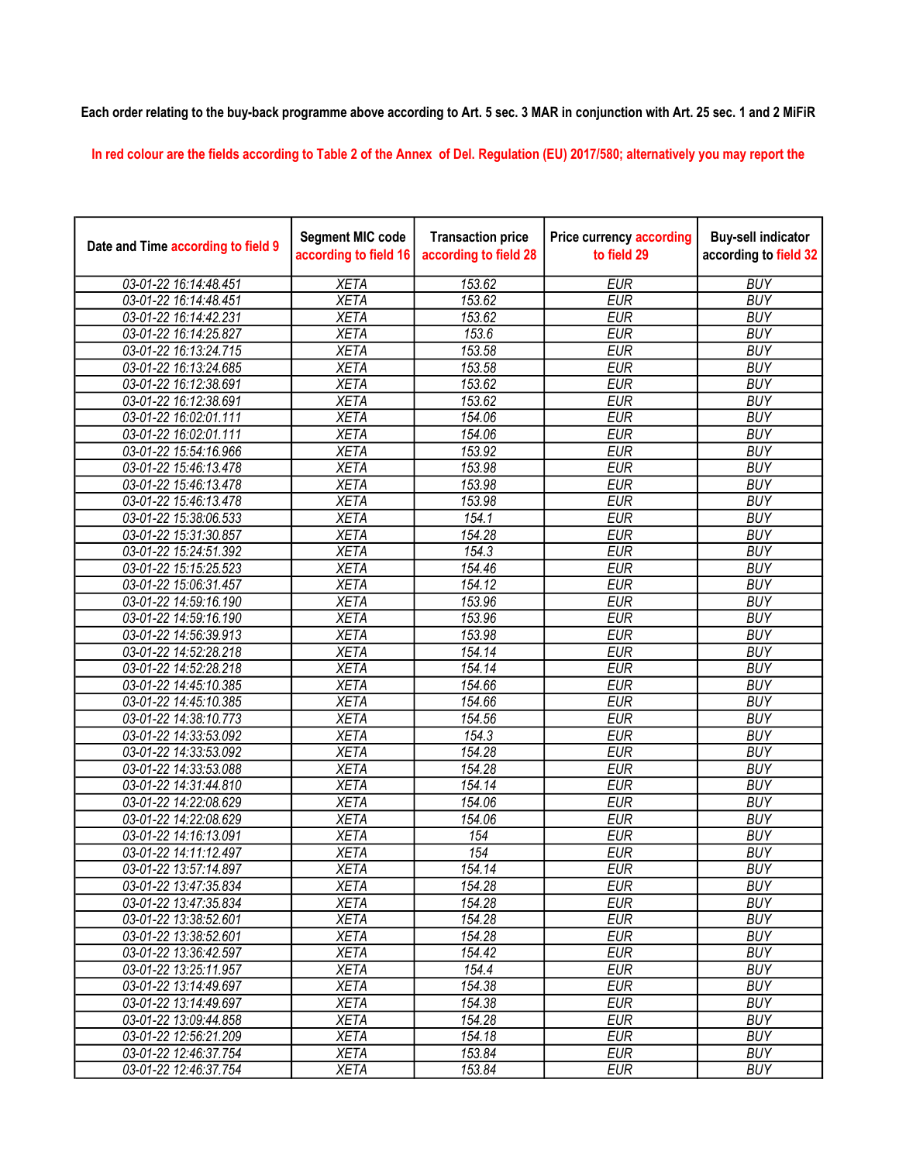## Each order relating to the buy-back programme above according to Art. 5 sec. 3 MAR in conjunction with Art. 25 sec. 1 and 2 MiFiR

In red colour are the fields according to Table 2 of the Annex of Del. Regulation (EU) 2017/580; alternatively you may report the

| Date and Time according to field 9 | <b>Segment MIC code</b><br>according to field 16 | <b>Transaction price</b><br>according to field 28 | <b>Price currency according</b><br>to field 29 | <b>Buy-sell indicator</b><br>according to field 32 |
|------------------------------------|--------------------------------------------------|---------------------------------------------------|------------------------------------------------|----------------------------------------------------|
| 03-01-22 16:14:48.451              | <b>XETA</b>                                      | 153.62                                            | <b>EUR</b>                                     | <b>BUY</b>                                         |
| 03-01-22 16:14:48.451              | <b>XETA</b>                                      | 153.62                                            | <b>EUR</b>                                     | <b>BUY</b>                                         |
| 03-01-22 16:14:42.231              | <b>XETA</b>                                      | 153.62                                            | <b>EUR</b>                                     | <b>BUY</b>                                         |
| 03-01-22 16:14:25.827              | <b>XETA</b>                                      | 153.6                                             | <b>EUR</b>                                     | <b>BUY</b>                                         |
| 03-01-22 16:13:24.715              | <b>XETA</b>                                      | 153.58                                            | <b>EUR</b>                                     | <b>BUY</b>                                         |
| 03-01-22 16:13:24.685              | <b>XETA</b>                                      | 153.58                                            | <b>EUR</b>                                     | <b>BUY</b>                                         |
| 03-01-22 16:12:38.691              | <b>XETA</b>                                      | 153.62                                            | <b>EUR</b>                                     | <b>BUY</b>                                         |
| 03-01-22 16:12:38.691              | <b>XETA</b>                                      | 153.62                                            | <b>EUR</b>                                     | <b>BUY</b>                                         |
| 03-01-22 16:02:01.111              | <b>XETA</b>                                      | 154.06                                            | <b>EUR</b>                                     | <b>BUY</b>                                         |
| 03-01-22 16:02:01.111              | <b>XETA</b>                                      | 154.06                                            | <b>EUR</b>                                     | <b>BUY</b>                                         |
| 03-01-22 15:54:16.966              | <b>XETA</b>                                      | 153.92                                            | <b>EUR</b>                                     | <b>BUY</b>                                         |
| 03-01-22 15:46:13.478              | <b>XETA</b>                                      | 153.98                                            | <b>EUR</b>                                     | <b>BUY</b>                                         |
| 03-01-22 15:46:13.478              | <b>XETA</b>                                      | 153.98                                            | <b>EUR</b>                                     | <b>BUY</b>                                         |
| 03-01-22 15:46:13.478              | <b>XETA</b>                                      | 153.98                                            | <b>EUR</b>                                     | <b>BUY</b>                                         |
| 03-01-22 15:38:06.533              | <b>XETA</b>                                      | 154.1                                             | <b>EUR</b>                                     | <b>BUY</b>                                         |
| 03-01-22 15:31:30.857              | <b>XETA</b>                                      | 154.28                                            | <b>EUR</b>                                     | <b>BUY</b>                                         |
| 03-01-22 15:24:51.392              | <b>XETA</b>                                      | 154.3                                             | <b>EUR</b>                                     | <b>BUY</b>                                         |
| 03-01-22 15:15:25.523              | <b>XETA</b>                                      | 154.46                                            | <b>EUR</b>                                     | <b>BUY</b>                                         |
| 03-01-22 15:06:31.457              | <b>XETA</b>                                      | 154.12                                            | <b>EUR</b>                                     | <b>BUY</b>                                         |
| 03-01-22 14:59:16.190              | <b>XETA</b>                                      | 153.96                                            | <b>EUR</b>                                     | <b>BUY</b>                                         |
| 03-01-22 14:59:16.190              | <b>XETA</b>                                      | 153.96                                            | <b>EUR</b>                                     | <b>BUY</b>                                         |
| 03-01-22 14:56:39.913              | <b>XETA</b>                                      | 153.98                                            | <b>EUR</b>                                     | <b>BUY</b>                                         |
| 03-01-22 14:52:28.218              | <b>XETA</b>                                      | 154.14                                            | <b>EUR</b>                                     | <b>BUY</b>                                         |
| 03-01-22 14:52:28.218              | <b>XETA</b>                                      | 154.14                                            | <b>EUR</b>                                     | <b>BUY</b>                                         |
| 03-01-22 14:45:10.385              | <b>XETA</b>                                      | 154.66                                            | <b>EUR</b>                                     | <b>BUY</b>                                         |
| 03-01-22 14:45:10.385              | <b>XETA</b>                                      | 154.66                                            | <b>EUR</b>                                     | <b>BUY</b>                                         |
| 03-01-22 14:38:10.773              | <b>XETA</b>                                      | 154.56                                            | <b>EUR</b>                                     | <b>BUY</b>                                         |
| 03-01-22 14:33:53.092              | <b>XETA</b>                                      | 154.3                                             | <b>EUR</b>                                     | <b>BUY</b>                                         |
| 03-01-22 14:33:53.092              | <b>XETA</b>                                      | 154.28                                            | <b>EUR</b>                                     | <b>BUY</b>                                         |
| 03-01-22 14:33:53.088              | <b>XETA</b>                                      | 154.28                                            | <b>EUR</b>                                     | <b>BUY</b>                                         |
| 03-01-22 14:31:44.810              | <b>XETA</b>                                      | 154.14                                            | <b>EUR</b>                                     | <b>BUY</b>                                         |
| 03-01-22 14:22:08.629              | <b>XETA</b>                                      | 154.06                                            | <b>EUR</b>                                     | <b>BUY</b>                                         |
| 03-01-22 14:22:08.629              | <b>XETA</b>                                      | 154.06                                            | <b>EUR</b>                                     | <b>BUY</b>                                         |
| 03-01-22 14:16:13.091              | <b>XETA</b>                                      | 154                                               | <b>EUR</b>                                     | <b>BUY</b>                                         |
| 03-01-22 14:11:12.497              | <b>XETA</b>                                      | 154                                               | <b>EUR</b>                                     | <b>BUY</b>                                         |
| 03-01-22 13:57:14.897              | <b>XETA</b>                                      | 154.14                                            | <b>EUR</b>                                     | <b>BUY</b>                                         |
| 03-01-22 13:47:35.834              | XETA                                             | 154.28                                            | EUR                                            | <b>BUY</b>                                         |
| 03-01-22 13:47:35.834              | <b>XETA</b>                                      | 154.28                                            | <b>EUR</b>                                     | <b>BUY</b>                                         |
| 03-01-22 13:38:52.601              | <b>XETA</b>                                      | 154.28                                            | <b>EUR</b>                                     | <b>BUY</b>                                         |
| 03-01-22 13:38:52.601              | <b>XETA</b>                                      | 154.28                                            | <b>EUR</b>                                     | <b>BUY</b>                                         |
| 03-01-22 13:36:42.597              | <b>XETA</b>                                      | 154.42                                            | <b>EUR</b>                                     | <b>BUY</b>                                         |
| 03-01-22 13:25:11.957              | <b>XETA</b>                                      | 154.4                                             | <b>EUR</b>                                     | <b>BUY</b>                                         |
| 03-01-22 13:14:49.697              | <b>XETA</b>                                      | 154.38                                            | <b>EUR</b>                                     | <b>BUY</b>                                         |
| 03-01-22 13:14:49.697              | <b>XETA</b>                                      | 154.38                                            | <b>EUR</b>                                     | <b>BUY</b>                                         |
| 03-01-22 13:09:44.858              | <b>XETA</b>                                      | 154.28                                            | <b>EUR</b>                                     | <b>BUY</b>                                         |
| 03-01-22 12:56:21.209              | <b>XETA</b>                                      | 154.18                                            | <b>EUR</b>                                     | <b>BUY</b>                                         |
| 03-01-22 12:46:37.754              | <b>XETA</b>                                      | 153.84                                            | EUR                                            | <b>BUY</b>                                         |
| 03-01-22 12:46:37.754              | <b>XETA</b>                                      | 153.84                                            | <b>EUR</b>                                     | <b>BUY</b>                                         |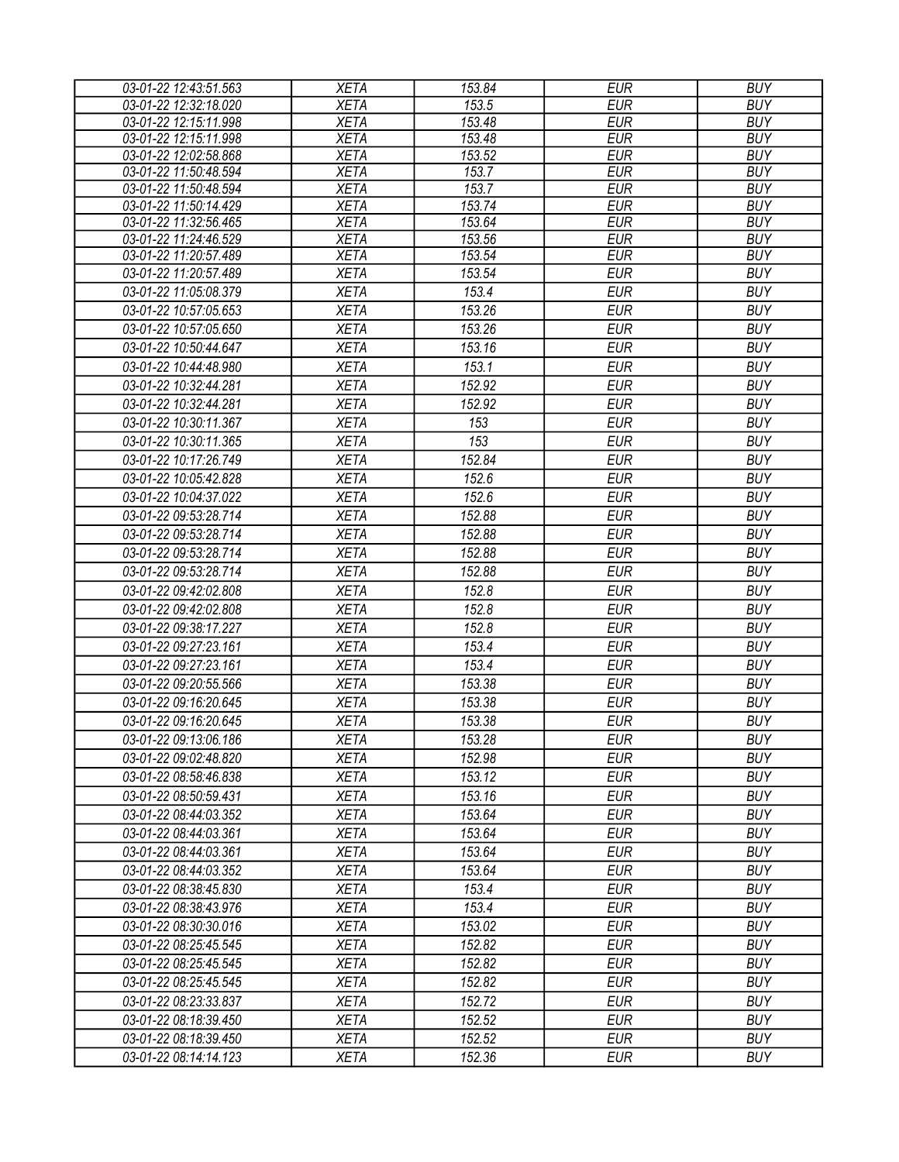| 03-01-22 12:43:51.563                          | <b>XETA</b>                | 153.84 | <b>EUR</b> | <b>BUY</b> |
|------------------------------------------------|----------------------------|--------|------------|------------|
| 03-01-22 12:32:18.020                          | <b>XETA</b>                | 153.5  | <b>EUR</b> | <b>BUY</b> |
| 03-01-22 12:15:11.998                          | <b>XETA</b>                | 153.48 | <b>EUR</b> | <b>BUY</b> |
| 03-01-22 12:15:11.998                          | <b>XETA</b>                | 153.48 | <b>EUR</b> | <b>BUY</b> |
| 03-01-22 12:02:58.868                          | <b>XETA</b>                | 153.52 | <b>EUR</b> | <b>BUY</b> |
| 03-01-22 11:50:48.594                          | <b>XETA</b>                | 153.7  | <b>EUR</b> | <b>BUY</b> |
| 03-01-22 11:50:48.594                          | <b>XETA</b>                | 153.7  | <b>EUR</b> | <b>BUY</b> |
| 03-01-22 11:50:14.429                          | <b>XETA</b>                | 153.74 | <b>EUR</b> | <b>BUY</b> |
| 03-01-22 11:32:56.465                          | <b>XETA</b>                | 153.64 | <b>EUR</b> | <b>BUY</b> |
| 03-01-22 11:24:46.529                          | <b>XETA</b>                | 153.56 | <b>EUR</b> | <b>BUY</b> |
| 03-01-22 11:20:57.489                          | <b>XETA</b>                | 153.54 | <b>EUR</b> | <b>BUY</b> |
| 03-01-22 11:20:57.489                          | <b>XETA</b>                | 153.54 | <b>EUR</b> | <b>BUY</b> |
| 03-01-22 11:05:08.379                          | <b>XETA</b>                | 153.4  | <b>EUR</b> | <b>BUY</b> |
| 03-01-22 10:57:05.653                          | <b>XETA</b>                | 153.26 | <b>EUR</b> | <b>BUY</b> |
| 03-01-22 10:57:05.650                          | <b>XETA</b>                | 153.26 | <b>EUR</b> | <b>BUY</b> |
| 03-01-22 10:50:44.647                          | <b>XETA</b>                | 153.16 | <b>EUR</b> | <b>BUY</b> |
| 03-01-22 10:44:48.980                          | <b>XETA</b>                | 153.1  | <b>EUR</b> | <b>BUY</b> |
| 03-01-22 10:32:44.281                          | <b>XETA</b>                | 152.92 | <b>EUR</b> | <b>BUY</b> |
| 03-01-22 10:32:44.281                          | <b>XETA</b>                | 152.92 | <b>EUR</b> | <b>BUY</b> |
| 03-01-22 10:30:11.367                          | <b>XETA</b>                | 153    | <b>EUR</b> | <b>BUY</b> |
| 03-01-22 10:30:11.365                          | <b>XETA</b>                | 153    | <b>EUR</b> | <b>BUY</b> |
| 03-01-22 10:17:26.749                          | <b>XETA</b>                | 152.84 | <b>EUR</b> | <b>BUY</b> |
| 03-01-22 10:05:42.828                          | <b>XETA</b>                | 152.6  | <b>EUR</b> | <b>BUY</b> |
| 03-01-22 10:04:37.022                          | <b>XETA</b>                | 152.6  | <b>EUR</b> | <b>BUY</b> |
| 03-01-22 09:53:28.714                          | <b>XETA</b>                | 152.88 | <b>EUR</b> | <b>BUY</b> |
| 03-01-22 09:53:28.714                          | <b>XETA</b>                | 152.88 | <b>EUR</b> | <b>BUY</b> |
| 03-01-22 09:53:28.714                          | <b>XETA</b>                | 152.88 | <b>EUR</b> | <b>BUY</b> |
| 03-01-22 09:53:28.714                          | <b>XETA</b>                | 152.88 | <b>EUR</b> | <b>BUY</b> |
|                                                |                            | 152.8  | <b>EUR</b> | <b>BUY</b> |
| 03-01-22 09:42:02.808<br>03-01-22 09:42:02.808 | <b>XETA</b><br><b>XETA</b> | 152.8  | <b>EUR</b> | <b>BUY</b> |
|                                                |                            |        |            |            |
| 03-01-22 09:38:17.227                          | <b>XETA</b>                | 152.8  | <b>EUR</b> | <b>BUY</b> |
| 03-01-22 09:27:23.161                          | <b>XETA</b>                | 153.4  | <b>EUR</b> | <b>BUY</b> |
| 03-01-22 09:27:23.161                          | <b>XETA</b>                | 153.4  | <b>EUR</b> | <b>BUY</b> |
| 03-01-22 09:20:55.566                          | <b>XETA</b>                | 153.38 | <b>EUR</b> | <b>BUY</b> |
| 03-01-22 09:16:20.645                          | <b>XETA</b>                | 153.38 | <b>EUR</b> | <b>BUY</b> |
| 03-01-22 09:16:20.645                          | <b>XETA</b>                | 153.38 | <b>EUR</b> | <b>BUY</b> |
| 03-01-22 09:13:06.186                          | <b>XETA</b>                | 153.28 | <b>EUR</b> | <b>BUY</b> |
| 03-01-22 09:02:48.820                          | <b>XETA</b>                | 152.98 | <b>EUR</b> | <b>BUY</b> |
| 03-01-22 08:58:46.838                          | <b>XETA</b>                | 153.12 | <b>EUR</b> | <b>BUY</b> |
| 03-01-22 08:50:59.431                          | <b>XETA</b>                | 153.16 | <b>EUR</b> | <b>BUY</b> |
| 03-01-22 08:44:03.352                          | <b>XETA</b>                | 153.64 | <b>EUR</b> | <b>BUY</b> |
| 03-01-22 08:44:03.361                          | <b>XETA</b>                | 153.64 | <b>EUR</b> | <b>BUY</b> |
| 03-01-22 08:44:03.361                          | <b>XETA</b>                | 153.64 | <b>EUR</b> | <b>BUY</b> |
| 03-01-22 08:44:03.352                          | <b>XETA</b>                | 153.64 | <b>EUR</b> | <b>BUY</b> |
| 03-01-22 08:38:45.830                          | <b>XETA</b>                | 153.4  | <b>EUR</b> | <b>BUY</b> |
| 03-01-22 08:38:43.976                          | <b>XETA</b>                | 153.4  | <b>EUR</b> | <b>BUY</b> |
| 03-01-22 08:30:30.016                          | <b>XETA</b>                | 153.02 | <b>EUR</b> | <b>BUY</b> |
| 03-01-22 08:25:45.545                          | <b>XETA</b>                | 152.82 | <b>EUR</b> | <b>BUY</b> |
| 03-01-22 08:25:45.545                          | <b>XETA</b>                | 152.82 | <b>EUR</b> | <b>BUY</b> |
| 03-01-22 08:25:45.545                          | <b>XETA</b>                | 152.82 | <b>EUR</b> | <b>BUY</b> |
| 03-01-22 08:23:33.837                          | <b>XETA</b>                | 152.72 | <b>EUR</b> | <b>BUY</b> |
| 03-01-22 08:18:39.450                          | <b>XETA</b>                | 152.52 | <b>EUR</b> | <b>BUY</b> |
| 03-01-22 08:18:39.450                          | <b>XETA</b>                | 152.52 | <b>EUR</b> | <b>BUY</b> |
| 03-01-22 08:14:14.123                          | <b>XETA</b>                | 152.36 | <b>EUR</b> | <b>BUY</b> |
|                                                |                            |        |            |            |